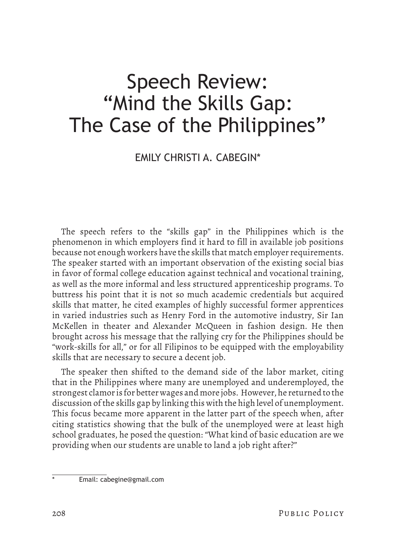# Speech Review: "Mind the Skills Gap: The Case of the Philippines"

## EMILY CHRISTI A. CABEGIN\*

The speech refers to the "skills gap" in the Philippines which is the phenomenon in which employers find it hard to fill in available job positions because not enough workers have the skills that match employer requirements. The speaker started with an important observation of the existing social bias in favor of formal college education against technical and vocational training, as well as the more informal and less structured apprenticeship programs. To buttress his point that it is not so much academic credentials but acquired skills that matter, he cited examples of highly successful former apprentices in varied industries such as Henry Ford in the automotive industry, Sir Ian McKellen in theater and Alexander McQueen in fashion design. He then brought across his message that the rallying cry for the Philippines should be "work-skills for all," or for all Filipinos to be equipped with the employability skills that are necessary to secure a decent job.

The speaker then shifted to the demand side of the labor market, citing that in the Philippines where many are unemployed and underemployed, the strongest clamor is for better wages and more jobs. However, he returned to the discussion of the skills gap by linking this with the high level of unemployment. This focus became more apparent in the latter part of the speech when, after citing statistics showing that the bulk of the unemployed were at least high school graduates, he posed the question: "What kind of basic education are we providing when our students are unable to land a job right after?"

Email: cabegine@gmail.com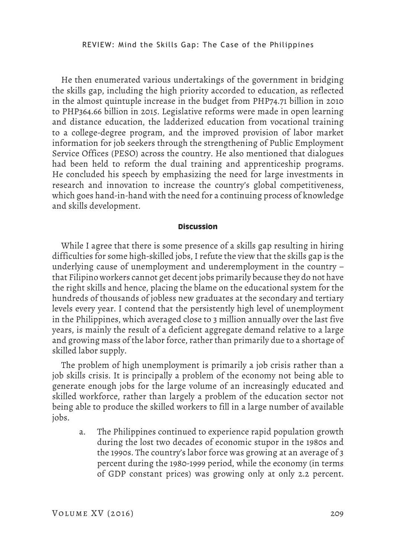He then enumerated various undertakings of the government in bridging the skills gap, including the high priority accorded to education, as reflected in the almost quintuple increase in the budget from PHP74.71 billion in 2010 to PHP364.66 billion in 2015. Legislative reforms were made in open learning and distance education, the ladderized education from vocational training to a college-degree program, and the improved provision of labor market information for job seekers through the strengthening of Public Employment Service Offices (PESO) across the country. He also mentioned that dialogues had been held to reform the dual training and apprenticeship programs. He concluded his speech by emphasizing the need for large investments in research and innovation to increase the country's global competitiveness, which goes hand-in-hand with the need for a continuing process of knowledge and skills development.

### **Discussion**

While I agree that there is some presence of a skills gap resulting in hiring difficulties for some high-skilled jobs, I refute the view that the skills gap is the underlying cause of unemployment and underemployment in the country – that Filipino workers cannot get decent jobs primarily because they do not have the right skills and hence, placing the blame on the educational system for the hundreds of thousands of jobless new graduates at the secondary and tertiary levels every year. I contend that the persistently high level of unemployment in the Philippines, which averaged close to 3 million annually over the last five years, is mainly the result of a deficient aggregate demand relative to a large and growing mass of the labor force, rather than primarily due to a shortage of skilled labor supply.

The problem of high unemployment is primarily a job crisis rather than a job skills crisis. It is principally a problem of the economy not being able to generate enough jobs for the large volume of an increasingly educated and skilled workforce, rather than largely a problem of the education sector not being able to produce the skilled workers to fill in a large number of available jobs.

a. The Philippines continued to experience rapid population growth during the lost two decades of economic stupor in the 1980s and the 1990s. The country's labor force was growing at an average of 3 percent during the 1980-1999 period, while the economy (in terms of GDP constant prices) was growing only at only 2.2 percent.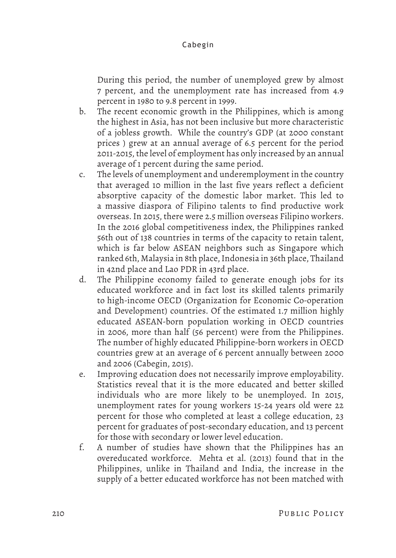## Cabegin

During this period, the number of unemployed grew by almost 7 percent, and the unemployment rate has increased from 4.9 percent in 1980 to 9.8 percent in 1999.

- b. The recent economic growth in the Philippines, which is among the highest in Asia, has not been inclusive but more characteristic of a jobless growth. While the country's GDP (at 2000 constant prices ) grew at an annual average of 6.5 percent for the period 2011-2015, the level of employment has only increased by an annual average of 1 percent during the same period.
- c. The levels of unemployment and underemployment in the country that averaged 10 million in the last five years reflect a deficient absorptive capacity of the domestic labor market. This led to a massive diaspora of Filipino talents to find productive work overseas. In 2015, there were 2.5 million overseas Filipino workers. In the 2016 global competitiveness index, the Philippines ranked 56th out of 138 countries in terms of the capacity to retain talent, which is far below ASEAN neighbors such as Singapore which ranked 6th, Malaysia in 8th place, Indonesia in 36th place, Thailand in 42nd place and Lao PDR in 43rd place.
- d. The Philippine economy failed to generate enough jobs for its educated workforce and in fact lost its skilled talents primarily to high-income OECD (Organization for Economic Co-operation and Development) countries. Of the estimated 1.7 million highly educated ASEAN-born population working in OECD countries in 2006, more than half (56 percent) were from the Philippines. The number of highly educated Philippine-born workers in OECD countries grew at an average of 6 percent annually between 2000 and 2006 (Cabegin, 2015).
- e. Improving education does not necessarily improve employability. Statistics reveal that it is the more educated and better skilled individuals who are more likely to be unemployed. In 2015, unemployment rates for young workers 15-24 years old were 22 percent for those who completed at least a college education, 23 percent for graduates of post-secondary education, and 13 percent for those with secondary or lower level education.
- f. A number of studies have shown that the Philippines has an overeducated workforce. Mehta et al. (2013) found that in the Philippines, unlike in Thailand and India, the increase in the supply of a better educated workforce has not been matched with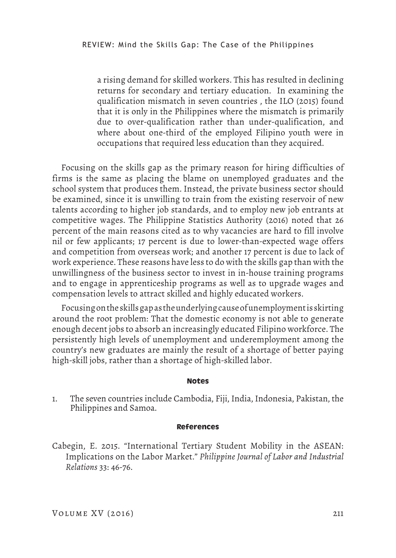a rising demand for skilled workers. This has resulted in declining returns for secondary and tertiary education. In examining the qualification mismatch in seven countries , the ILO (2015) found that it is only in the Philippines where the mismatch is primarily due to over-qualification rather than under-qualification, and where about one-third of the employed Filipino youth were in occupations that required less education than they acquired.

Focusing on the skills gap as the primary reason for hiring difficulties of firms is the same as placing the blame on unemployed graduates and the school system that produces them. Instead, the private business sector should be examined, since it is unwilling to train from the existing reservoir of new talents according to higher job standards, and to employ new job entrants at competitive wages. The Philippine Statistics Authority (2016) noted that 26 percent of the main reasons cited as to why vacancies are hard to fill involve nil or few applicants; 17 percent is due to lower-than-expected wage offers and competition from overseas work; and another 17 percent is due to lack of work experience. These reasons have less to do with the skills gap than with the unwillingness of the business sector to invest in in-house training programs and to engage in apprenticeship programs as well as to upgrade wages and compensation levels to attract skilled and highly educated workers.

Focusing on the skills gap as the underlying cause of unemployment is skirting around the root problem: That the domestic economy is not able to generate enough decent jobs to absorb an increasingly educated Filipino workforce. The persistently high levels of unemployment and underemployment among the country's new graduates are mainly the result of a shortage of better paying high-skill jobs, rather than a shortage of high-skilled labor.

#### **Notes**

1. The seven countries include Cambodia, Fiji, India, Indonesia, Pakistan, the Philippines and Samoa.

#### **References**

Cabegin, E. 2015. "International Tertiary Student Mobility in the ASEAN: Implications on the Labor Market." *Philippine Journal of Labor and Industrial Relations* 33: 46-76.